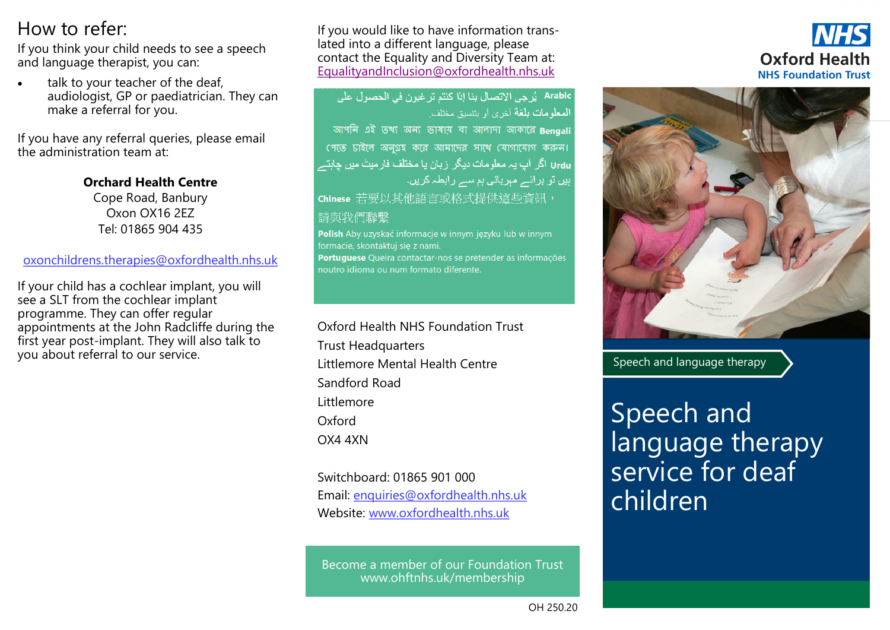### How to refer:

If you think your child needs to see a speech and language therapist, you can:

talk to your teacher of the deaf. audiologist, GP or paediatrician. They can make a referral for you.

If you have any referral queries, please email the administration team at:

> **Orchard Health Centre**  Cope Road, Banbury Oxon OX16 2EZ Tel: 01865 904 435

#### o[xonchildrens.therapies@oxfordhealth.nhs.uk](https://web.nhs.net/OWA/redir.aspx?C=8IdSxbgnAkO-tEImUmptC29m2xsKedBIE8P-stGhOnxGCb_yBOxAay7MBr1nKbUwGR3aoIq7Os4.&URL=mailto%3aOxonchildrens.therapies%40oxfordhealth.nhs.uk)

If your child has a cochlear implant, you will see a SLT from the cochlear implant programme. They can offer regular appointments at the John Radcliffe during the first year post-implant. They will also talk to you about referral to our service.

If you would like to have information translated into a different language, please contact the Equality and Diversity Team at: [EqualityandInclusion@oxfordhealth.nhs.uk](mailto:EqualityandInclusion@oxfordhealth.nhs.uk)

Arabic يُرجى الاتصال بنا إذا كنتم ترغبون في الحصول على المعلومات بلغة أخرى أو بتنسيق مختلف আপনি এই তথ্য অন্য ভাষায় বা আলাদা আকারে Benaali

পেতে চাইলে অনগ্রহ করে আমাদের সাথে যোগাযোগ করুন। Urdu اگر آپ یہ معلومات دیگر زبان یا مختلف فارمیٹ میں چاہتے ہیں تو برائے مہربانی ہم سے رابطہ کریں۔

chinese 若要以其他語言或格式提供這些資訊,

### 請與我們聯繫

Polish Aby uzyskać informacje w innym języku lub w innym formacie, skontaktuj sie z nami. Portuguese Queira contactar-nos se pretender as informações noutro idioma ou num formato diferente.

Oxford Health NHS Foundation Trust Trust Headquarters Littlemore Mental Health Centre Sandford Road Littlemore **Oxford** OX4 4XN

Switchboard: 01865 901 000 Email: enquiries@oxfordhealth.nhs.uk Website: www.oxfordhealth.nhs.uk

Become a member of our Foundation Trust www.ohftnhs.uk/membership





Speech and language therapy

Speech and language therapy service for deaf children